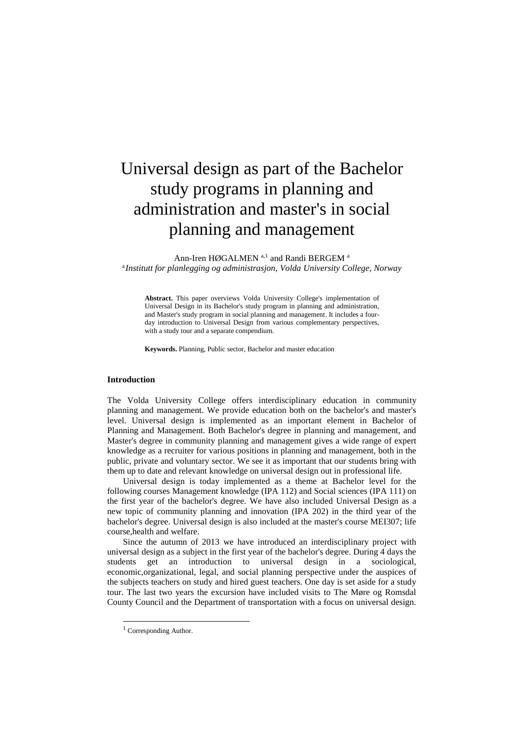## Universal design as part of the Bachelor study programs in planning and administration and master's in social planning and management

Ann-Iren HØGALMEN<sup>a,1</sup> and Randi BERGEM<sup>a</sup> a *Institutt for planlegging og administrasjon, Volda University College, Norway*

**Abstract.** This paper overviews Volda University College's implementation of Universal Design in its Bachelor's study program in planning and administration, and Master's study program in social planning and management. It includes a fourday introduction to Universal Design from various complementary perspectives, with a study tour and a separate compendium.

**Keywords.** Planning, Public sector, Bachelor and master education

## **Introduction**

The Volda University College offers interdisciplinary education in community planning and management. We provide education both on the bachelor's and master's level. Universal design is implemented as an important element in Bachelor of Planning and Management. Both Bachelor's degree in planning and management, and Master's degree in community planning and management gives a wide range of expert knowledge as a recruiter for various positions in planning and management, both in the public, private and voluntary sector. We see it as important that our students bring with them up to date and relevant knowledge on universal design out in professional life.

Universal design is today implemented as a theme at Bachelor level for the following courses Management knowledge (IPA 112) and Social sciences (IPA 111) on the first year of the bachelor's degree. We have also included Universal Design as a new topic of community planning and innovation (IPA 202) in the third year of the bachelor's degree. Universal design is also included at the master's course MEI307; life course,health and welfare.

Since the autumn of 2013 we have introduced an interdisciplinary project with universal design as a subject in the first year of the bachelor's degree. During 4 days the students get an introduction to universal design in a sociological, economic,organizational, legal, and social planning perspective under the auspices of the subjects teachers on study and hired guest teachers. One day is set aside for a study tour. The last two years the excursion have included visits to The Møre og Romsdal County Council and the Department of transportation with a focus on universal design.

1

<sup>&</sup>lt;sup>1</sup> Corresponding Author.